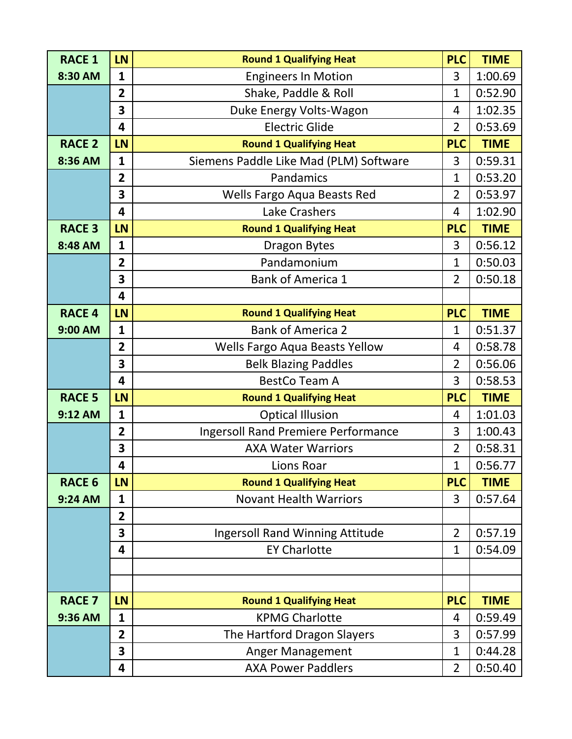| <b>RACE 1</b> | LN                      | <b>Round 1 Qualifying Heat</b>             | <b>PLC</b>     | <b>TIME</b> |
|---------------|-------------------------|--------------------------------------------|----------------|-------------|
| 8:30 AM       | $\mathbf{1}$            | <b>Engineers In Motion</b>                 | 3              | 1:00.69     |
|               | $\overline{2}$          | Shake, Paddle & Roll                       | $\mathbf{1}$   | 0:52.90     |
|               | 3                       | Duke Energy Volts-Wagon                    | 4              | 1:02.35     |
|               | 4                       | <b>Electric Glide</b>                      | $\overline{2}$ | 0:53.69     |
| <b>RACE 2</b> | LN                      | <b>Round 1 Qualifying Heat</b>             | <b>PLC</b>     | <b>TIME</b> |
| 8:36 AM       | $\mathbf{1}$            | Siemens Paddle Like Mad (PLM) Software     | 3              | 0:59.31     |
|               | $\overline{2}$          | Pandamics                                  | $\mathbf{1}$   | 0:53.20     |
|               | 3                       | Wells Fargo Aqua Beasts Red                | $\overline{2}$ | 0:53.97     |
|               | $\overline{\mathbf{4}}$ | Lake Crashers                              | 4              | 1:02.90     |
| <b>RACE 3</b> | LN                      | <b>Round 1 Qualifying Heat</b>             | <b>PLC</b>     | <b>TIME</b> |
| 8:48 AM       | $\mathbf{1}$            | <b>Dragon Bytes</b>                        | 3              | 0:56.12     |
|               | $\overline{2}$          | Pandamonium                                | $\mathbf{1}$   | 0:50.03     |
|               | 3                       | <b>Bank of America 1</b>                   | $\overline{2}$ | 0:50.18     |
|               | $\overline{\mathbf{4}}$ |                                            |                |             |
| <b>RACE 4</b> | LN                      | <b>Round 1 Qualifying Heat</b>             | <b>PLC</b>     | <b>TIME</b> |
| 9:00 AM       | $\mathbf{1}$            | <b>Bank of America 2</b>                   | $\overline{1}$ | 0:51.37     |
|               | $\overline{2}$          | Wells Fargo Aqua Beasts Yellow             | 4              | 0:58.78     |
|               | 3                       | <b>Belk Blazing Paddles</b>                | $\overline{2}$ | 0:56.06     |
|               | $\overline{\mathbf{4}}$ | <b>BestCo Team A</b>                       | 3              | 0:58.53     |
| <b>RACE 5</b> | LN                      | <b>Round 1 Qualifying Heat</b>             | <b>PLC</b>     | <b>TIME</b> |
| 9:12 AM       | $\mathbf{1}$            | <b>Optical Illusion</b>                    | 4              | 1:01.03     |
|               | $\overline{2}$          | <b>Ingersoll Rand Premiere Performance</b> | 3              | 1:00.43     |
|               | 3                       | <b>AXA Water Warriors</b>                  | $\overline{2}$ | 0:58.31     |
|               | 4                       | Lions Roar                                 | $\mathbf{1}$   | 0:56.77     |
| <b>RACE 6</b> | LN                      | <b>Round 1 Qualifying Heat</b>             | <b>PLC</b>     | <b>TIME</b> |
| 9:24 AM       | $\mathbf{1}$            | <b>Novant Health Warriors</b>              | 3              | 0:57.64     |
|               | $\overline{2}$          |                                            |                |             |
|               | 3                       | <b>Ingersoll Rand Winning Attitude</b>     | $\overline{2}$ | 0:57.19     |
|               | $\overline{\mathbf{4}}$ | <b>EY Charlotte</b>                        | $\mathbf{1}$   | 0:54.09     |
|               |                         |                                            |                |             |
|               |                         |                                            |                |             |
| <b>RACE 7</b> | LN                      | <b>Round 1 Qualifying Heat</b>             | <b>PLC</b>     | <b>TIME</b> |
| 9:36 AM       | $\mathbf{1}$            | <b>KPMG Charlotte</b>                      | 4              | 0:59.49     |
|               | $\overline{2}$          | The Hartford Dragon Slayers                | 3              | 0:57.99     |
|               | 3                       | Anger Management                           | 1              | 0:44.28     |
|               | 4                       | <b>AXA Power Paddlers</b>                  | $\overline{2}$ | 0:50.40     |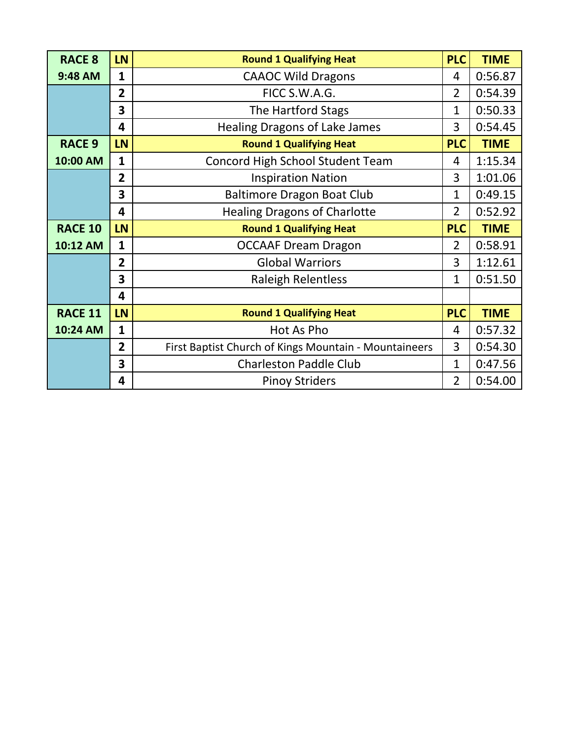| <b>RACE 8</b>  | <b>LN</b>      | <b>Round 1 Qualifying Heat</b>                        | <b>PLC</b>     | <b>TIME</b> |
|----------------|----------------|-------------------------------------------------------|----------------|-------------|
| 9:48 AM        | $\mathbf{1}$   | <b>CAAOC Wild Dragons</b>                             | 4              | 0:56.87     |
|                | $\overline{2}$ | FICC S.W.A.G.                                         | $\overline{2}$ | 0:54.39     |
|                | 3              | The Hartford Stags                                    | 1              | 0:50.33     |
|                | 4              | <b>Healing Dragons of Lake James</b>                  | 3              | 0:54.45     |
| <b>RACE 9</b>  | LN             | <b>Round 1 Qualifying Heat</b>                        | <b>PLC</b>     | <b>TIME</b> |
| 10:00 AM       | $\mathbf{1}$   | Concord High School Student Team                      | 4              | 1:15.34     |
|                | $\overline{2}$ | <b>Inspiration Nation</b>                             | 3              | 1:01.06     |
|                | 3              | <b>Baltimore Dragon Boat Club</b>                     | $\mathbf 1$    | 0:49.15     |
|                | 4              | <b>Healing Dragons of Charlotte</b>                   | $\overline{2}$ | 0:52.92     |
| <b>RACE 10</b> | LN             | <b>Round 1 Qualifying Heat</b>                        | <b>PLC</b>     | <b>TIME</b> |
| 10:12 AM       | $\mathbf{1}$   | <b>OCCAAF Dream Dragon</b>                            | $\overline{2}$ | 0:58.91     |
|                | $\overline{2}$ | <b>Global Warriors</b>                                | 3              | 1:12.61     |
|                | 3              | <b>Raleigh Relentless</b>                             | 1              | 0:51.50     |
|                | 4              |                                                       |                |             |
| <b>RACE 11</b> | LN             | <b>Round 1 Qualifying Heat</b>                        | <b>PLC</b>     | <b>TIME</b> |
| 10:24 AM       | $\mathbf{1}$   | Hot As Pho                                            | 4              | 0:57.32     |
|                | $\overline{2}$ | First Baptist Church of Kings Mountain - Mountaineers | 3              | 0:54.30     |
|                | 3              | <b>Charleston Paddle Club</b>                         | $\mathbf 1$    | 0:47.56     |
|                |                |                                                       |                |             |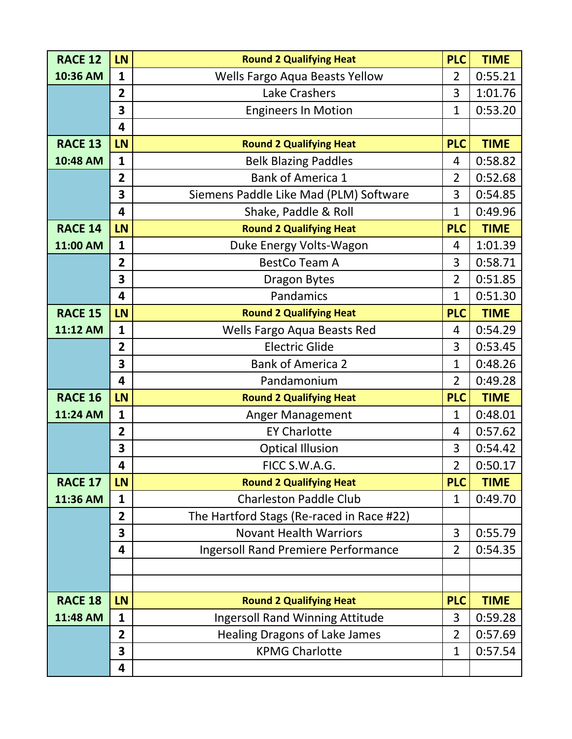| <b>RACE 12</b> | LN                      | <b>Round 2 Qualifying Heat</b>             | <b>PLC</b>     | <b>TIME</b> |
|----------------|-------------------------|--------------------------------------------|----------------|-------------|
| 10:36 AM       | $\mathbf{1}$            | Wells Fargo Aqua Beasts Yellow             | $\overline{2}$ | 0:55.21     |
|                | $\overline{2}$          | Lake Crashers                              | 3              | 1:01.76     |
|                | 3                       | <b>Engineers In Motion</b>                 | $\mathbf{1}$   | 0:53.20     |
|                | $\overline{\mathbf{4}}$ |                                            |                |             |
| <b>RACE 13</b> | LN                      | <b>Round 2 Qualifying Heat</b>             | <b>PLC</b>     | <b>TIME</b> |
| 10:48 AM       | $\mathbf{1}$            | <b>Belk Blazing Paddles</b>                | 4              | 0:58.82     |
|                | $\overline{2}$          | <b>Bank of America 1</b>                   | $\overline{2}$ | 0:52.68     |
|                | 3                       | Siemens Paddle Like Mad (PLM) Software     | 3              | 0:54.85     |
|                | 4                       | Shake, Paddle & Roll                       | $\mathbf{1}$   | 0:49.96     |
| <b>RACE 14</b> | LN                      | <b>Round 2 Qualifying Heat</b>             | <b>PLC</b>     | <b>TIME</b> |
| 11:00 AM       | $\mathbf{1}$            | Duke Energy Volts-Wagon                    | 4              | 1:01.39     |
|                | $\overline{2}$          | <b>BestCo Team A</b>                       | 3              | 0:58.71     |
|                | 3                       | <b>Dragon Bytes</b>                        | $\overline{2}$ | 0:51.85     |
|                | $\overline{\mathbf{4}}$ | Pandamics                                  | $\mathbf{1}$   | 0:51.30     |
| <b>RACE 15</b> | LN                      | <b>Round 2 Qualifying Heat</b>             | <b>PLC</b>     | <b>TIME</b> |
| 11:12 AM       | $\mathbf{1}$            | Wells Fargo Aqua Beasts Red                | 4              | 0:54.29     |
|                | $\overline{2}$          | <b>Electric Glide</b>                      | 3              | 0:53.45     |
|                | 3                       | <b>Bank of America 2</b>                   | $\mathbf{1}$   | 0:48.26     |
|                | 4                       | Pandamonium                                | $\overline{2}$ | 0:49.28     |
| <b>RACE 16</b> | LN                      | <b>Round 2 Qualifying Heat</b>             | <b>PLC</b>     | <b>TIME</b> |
| 11:24 AM       | $\mathbf{1}$            | <b>Anger Management</b>                    | $\mathbf{1}$   | 0:48.01     |
|                | $\overline{2}$          | <b>EY Charlotte</b>                        | 4              | 0:57.62     |
|                | 3                       | <b>Optical Illusion</b>                    | 3              | 0:54.42     |
|                | 4                       | FICC S.W.A.G.                              | $\overline{2}$ | 0:50.17     |
| <b>RACE 17</b> | LN                      | <b>Round 2 Qualifying Heat</b>             | <b>PLC</b>     | <b>TIME</b> |
| 11:36 AM       | $\mathbf{1}$            | <b>Charleston Paddle Club</b>              | $\mathbf{1}$   | 0:49.70     |
|                | $\overline{2}$          | The Hartford Stags (Re-raced in Race #22)  |                |             |
|                | 3                       | <b>Novant Health Warriors</b>              | 3              | 0:55.79     |
|                | 4                       | <b>Ingersoll Rand Premiere Performance</b> | $\overline{2}$ | 0:54.35     |
|                |                         |                                            |                |             |
|                |                         |                                            |                |             |
| <b>RACE 18</b> | LN                      | <b>Round 2 Qualifying Heat</b>             | <b>PLC</b>     | <b>TIME</b> |
| 11:48 AM       | $\mathbf{1}$            | <b>Ingersoll Rand Winning Attitude</b>     | 3              | 0:59.28     |
|                | $\overline{2}$          | <b>Healing Dragons of Lake James</b>       | $\overline{2}$ | 0:57.69     |
|                | 3                       | <b>KPMG Charlotte</b>                      | 1              | 0:57.54     |
|                | 4                       |                                            |                |             |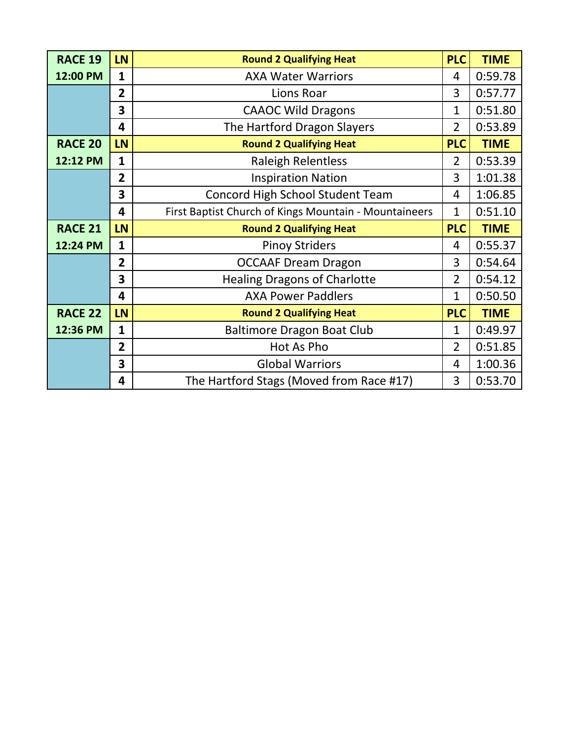| <b>RACE 19</b> | <b>LN</b>      | <b>Round 2 Qualifying Heat</b>                        | <b>PLC</b>     | <b>TIME</b> |
|----------------|----------------|-------------------------------------------------------|----------------|-------------|
| 12:00 PM       | $\mathbf{1}$   | <b>AXA Water Warriors</b>                             | 4              | 0:59.78     |
|                | $\overline{2}$ | Lions Roar                                            | 3              | 0:57.77     |
|                | 3              | <b>CAAOC Wild Dragons</b>                             | 1              | 0:51.80     |
|                | 4              | The Hartford Dragon Slayers                           | $\overline{2}$ | 0:53.89     |
| <b>RACE 20</b> | LN             | <b>Round 2 Qualifying Heat</b>                        | <b>PLC</b>     | <b>TIME</b> |
| 12:12 PM       | $\mathbf{1}$   | <b>Raleigh Relentless</b>                             | $\overline{2}$ | 0:53.39     |
|                | $\overline{2}$ | <b>Inspiration Nation</b>                             | 3              | 1:01.38     |
|                | 3              | <b>Concord High School Student Team</b>               | 4              | 1:06.85     |
|                | 4              | First Baptist Church of Kings Mountain - Mountaineers | $\mathbf 1$    | 0:51.10     |
|                |                |                                                       |                |             |
| <b>RACE 21</b> | LN             | <b>Round 2 Qualifying Heat</b>                        | <b>PLC</b>     | <b>TIME</b> |
| 12:24 PM       | $\mathbf{1}$   | <b>Pinoy Striders</b>                                 | 4              | 0:55.37     |
|                | $\overline{2}$ | <b>OCCAAF Dream Dragon</b>                            | 3              | 0:54.64     |
|                | 3              | <b>Healing Dragons of Charlotte</b>                   | $\overline{2}$ | 0:54.12     |
|                | 4              | <b>AXA Power Paddlers</b>                             | $\mathbf{1}$   | 0:50.50     |
| <b>RACE 22</b> | LN             | <b>Round 2 Qualifying Heat</b>                        | <b>PLC</b>     | <b>TIME</b> |
| 12:36 PM       | $\mathbf{1}$   | <b>Baltimore Dragon Boat Club</b>                     | $\mathbf 1$    | 0:49.97     |
|                | $\overline{2}$ | Hot As Pho                                            | $\overline{2}$ | 0:51.85     |
|                | 3              | <b>Global Warriors</b>                                | 4              | 1:00.36     |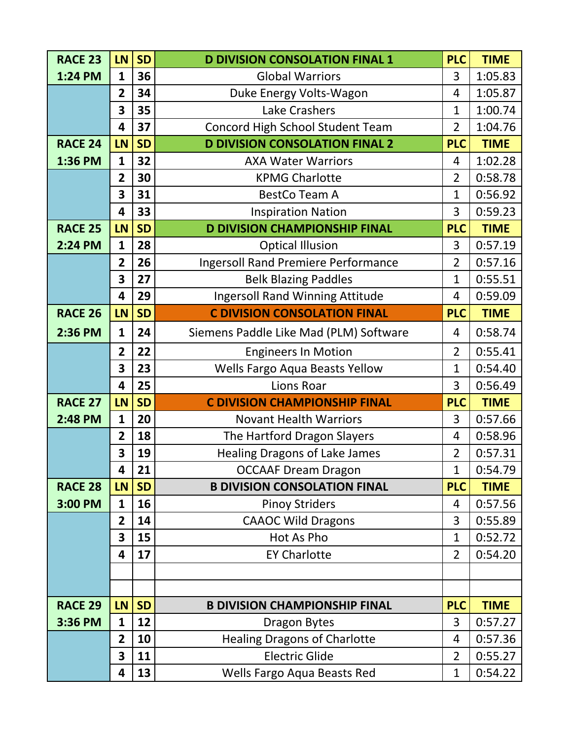| <b>RACE 23</b> | LN                           | <b>SD</b> | <b>D DIVISION CONSOLATION FINAL 1</b>                | <b>PLC</b>                     | <b>TIME</b>        |
|----------------|------------------------------|-----------|------------------------------------------------------|--------------------------------|--------------------|
| 1:24 PM        | $\mathbf{1}$                 | 36        | <b>Global Warriors</b>                               | 3                              | 1:05.83            |
|                | $\overline{2}$               | 34        | Duke Energy Volts-Wagon                              | 4                              | 1:05.87            |
|                | 3                            | 35        | Lake Crashers                                        | $\mathbf{1}$                   | 1:00.74            |
|                | 4                            | 37        | <b>Concord High School Student Team</b>              | $\overline{2}$                 | 1:04.76            |
| <b>RACE 24</b> | LN                           | <b>SD</b> | <b>D DIVISION CONSOLATION FINAL 2</b>                | <b>PLC</b>                     | <b>TIME</b>        |
| 1:36 PM        | $\mathbf{1}$                 | 32        | <b>AXA Water Warriors</b>                            | 4                              | 1:02.28            |
|                | $\overline{2}$               | 30        | <b>KPMG Charlotte</b>                                | $\overline{2}$                 | 0:58.78            |
|                | 3                            | 31        | <b>BestCo Team A</b>                                 | $\mathbf{1}$                   | 0:56.92            |
|                | $\overline{\mathbf{4}}$      | 33        | <b>Inspiration Nation</b>                            | 3                              | 0:59.23            |
| <b>RACE 25</b> | LN                           | <b>SD</b> | <b>D DIVISION CHAMPIONSHIP FINAL</b>                 | <b>PLC</b>                     | <b>TIME</b>        |
| 2:24 PM        | $\mathbf{1}$                 | 28        | <b>Optical Illusion</b>                              | 3                              | 0:57.19            |
|                | $\overline{2}$               | 26        | <b>Ingersoll Rand Premiere Performance</b>           | $\overline{2}$                 | 0:57.16            |
|                | 3                            | 27        | <b>Belk Blazing Paddles</b>                          | $\mathbf{1}$                   | 0:55.51            |
|                | $\overline{\mathbf{4}}$      | 29        | <b>Ingersoll Rand Winning Attitude</b>               | $\overline{4}$                 | 0:59.09            |
| <b>RACE 26</b> | LN                           | <b>SD</b> | <b>C DIVISION CONSOLATION FINAL</b>                  | <b>PLC</b>                     | <b>TIME</b>        |
| 2:36 PM        | $\mathbf{1}$                 | 24        | Siemens Paddle Like Mad (PLM) Software               | 4                              | 0:58.74            |
|                | $\overline{2}$               | 22        | <b>Engineers In Motion</b>                           | $\overline{2}$                 | 0:55.41            |
|                | 3                            | 23        | Wells Fargo Aqua Beasts Yellow                       | $\mathbf{1}$                   | 0:54.40            |
|                | $\overline{\mathbf{4}}$      | 25        | Lions Roar                                           | 3                              | 0:56.49            |
| <b>RACE 27</b> | LN                           | <b>SD</b> | <b>C DIVISION CHAMPIONSHIP FINAL</b>                 | <b>PLC</b>                     | <b>TIME</b>        |
|                |                              |           | <b>Novant Health Warriors</b>                        |                                | 0:57.66            |
| 2:48 PM        | $\mathbf{1}$                 | 20        |                                                      | 3                              |                    |
|                | $\overline{2}$               | 18        | The Hartford Dragon Slayers                          | 4                              | 0:58.96            |
|                | 3                            | 19        | <b>Healing Dragons of Lake James</b>                 | $\overline{2}$                 | 0:57.31            |
|                | 4                            | 21        | <b>OCCAAF Dream Dragon</b>                           | $\mathbf{1}$                   | 0:54.79            |
| <b>RACE 28</b> | <b>LN</b>                    | <b>SD</b> | <b>B DIVISION CONSOLATION FINAL</b>                  | <b>PLC</b>                     | <b>TIME</b>        |
| 3:00 PM        | $\mathbf{1}$                 | 16        | <b>Pinoy Striders</b>                                | 4                              | 0:57.56            |
|                | $\overline{2}$               | 14        | <b>CAAOC Wild Dragons</b>                            | 3                              | 0:55.89            |
|                | 3                            | 15        | Hot As Pho                                           | $\mathbf{1}$                   | 0:52.72            |
|                | 4                            | 17        | <b>EY Charlotte</b>                                  | $\overline{2}$                 | 0:54.20            |
|                |                              |           |                                                      |                                |                    |
|                |                              |           |                                                      |                                |                    |
| <b>RACE 29</b> | <b>LN</b>                    | <b>SD</b> | <b>B DIVISION CHAMPIONSHIP FINAL</b>                 | <b>PLC</b>                     | <b>TIME</b>        |
| 3:36 PM        | 1                            | 12        | Dragon Bytes                                         | 3                              | 0:57.27            |
|                | $\overline{2}$               | 10        | <b>Healing Dragons of Charlotte</b>                  | 4                              | 0:57.36            |
|                | 3<br>$\overline{\mathbf{4}}$ | 11<br>13  | <b>Electric Glide</b><br>Wells Fargo Aqua Beasts Red | $\overline{2}$<br>$\mathbf{1}$ | 0:55.27<br>0:54.22 |